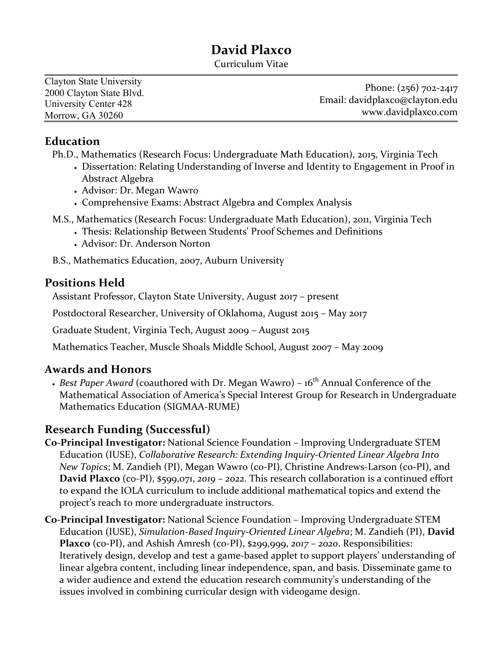# **David Plaxco**

Curriculum Vitae

| Clayton State University |                                |
|--------------------------|--------------------------------|
| 2000 Clayton State Blvd. | Phone: (256) 702-2417          |
| University Center 428    | Email: davidplaxco@clayton.edu |
| Morrow, GA 30260         | www.davidplaxco.com            |

#### **Education**

Ph.D., Mathematics (Research Focus: Undergraduate Math Education), 2015, Virginia Tech

- Dissertation: Relating Understanding of Inverse and Identity to Engagement in Proof in Abstract Algebra
- Advisor: Dr. Megan Wawro
- Comprehensive Exams: Abstract Algebra and Complex Analysis
- M.S., Mathematics (Research Focus: Undergraduate Math Education), 2011, Virginia Tech
	- Thesis: Relationship Between Students' Proof Schemes and Definitions
	- Advisor: Dr. Anderson Norton

B.S., Mathematics Education, 2007, Auburn University

### **Positions Held**

Assistant Professor, Clayton State University, August 2017 – present

Postdoctoral Researcher, University of Oklahoma, August 2015 – May 2017

Graduate Student, Virginia Tech, August 2009 – August 2015

Mathematics Teacher, Muscle Shoals Middle School, August 2007 – May 2009

### **Awards and Honors**

• *Best Paper Award* (coauthored with Dr. Megan Wawro) - 16<sup>th</sup> Annual Conference of the Mathematical Association of America's Special Interest Group for Research in Undergraduate Mathematics Education (SIGMAA-RUME)

# **Research Funding (Successful)**

**Co-Principal Investigator:** National Science Foundation – Improving Undergraduate STEM Education (IUSE), *Collaborative Research: Extending Inquiry-Oriented Linear Algebra Into New Topics*; M. Zandieh (PI), Megan Wawro (co-PI), Christine Andrews-Larson (co-PI), and **David Plaxco** (co-PI), \$599,071, *2019* – *2022*. This research collaboration is a continued effort to expand the IOLA curriculum to include additional mathematical topics and extend the project's reach to more undergraduate instructors.

**Co-Principal Investigator:** National Science Foundation – Improving Undergraduate STEM Education (IUSE), *Simulation-Based Inquiry-Oriented Linear Algebra*; M. Zandieh (PI), **David Plaxco** (co-PI), and Ashish Amresh (co-PI), \$299,999, *2017* – *2020*. Responsibilities: Iteratively design, develop and test a game-based applet to support players' understanding of linear algebra content, including linear independence, span, and basis. Disseminate game to a wider audience and extend the education research community's understanding of the issues involved in combining curricular design with videogame design.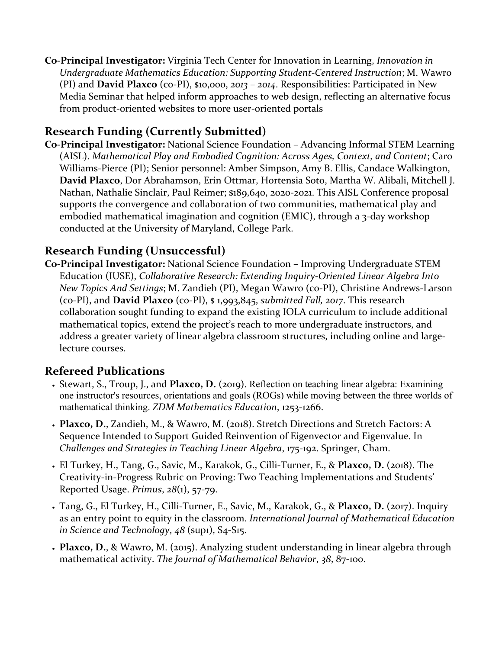**Co-Principal Investigator:** Virginia Tech Center for Innovation in Learning, *Innovation in Undergraduate Mathematics Education: Supporting Student-Centered Instruction*; M. Wawro (PI) and **David Plaxco** (co-PI), \$10,000, *2013* – *2014*. Responsibilities: Participated in New Media Seminar that helped inform approaches to web design, reflecting an alternative focus from product-oriented websites to more user-oriented portals

# **Research Funding (Currently Submitted)**

**Co-Principal Investigator:** National Science Foundation – Advancing Informal STEM Learning (AISL). *Mathematical Play and Embodied Cognition: Across Ages, Context, and Content*; Caro Williams-Pierce (PI); Senior personnel: Amber Simpson, Amy B. Ellis, Candace Walkington, **David Plaxco**, Dor Abrahamson, Erin Ottmar, Hortensia Soto, Martha W. Alibali, Mitchell J. Nathan, Nathalie Sinclair, Paul Reimer; \$189,640, 2020-2021. This AISL Conference proposal supports the convergence and collaboration of two communities, mathematical play and embodied mathematical imagination and cognition (EMIC), through a 3-day workshop conducted at the University of Maryland, College Park.

# **Research Funding (Unsuccessful)**

**Co-Principal Investigator:** National Science Foundation – Improving Undergraduate STEM Education (IUSE), *Collaborative Research: Extending Inquiry-Oriented Linear Algebra Into New Topics And Settings*; M. Zandieh (PI), Megan Wawro (co-PI), Christine Andrews-Larson (co-PI), and **David Plaxco** (co-PI), \$ 1,993,845, *submitted Fall, 2017*. This research collaboration sought funding to expand the existing IOLA curriculum to include additional mathematical topics, extend the project's reach to more undergraduate instructors, and address a greater variety of linear algebra classroom structures, including online and largelecture courses.

# **Refereed Publications**

- Stewart, S., Troup, J., and **Plaxco, D.** (2019). Reflection on teaching linear algebra: Examining one instructor's resources, orientations and goals (ROGs) while moving between the three worlds of mathematical thinking. *ZDM Mathematics Education*, 1253-1266.
- **Plaxco, D.**, Zandieh, M., & Wawro, M. (2018). Stretch Directions and Stretch Factors: A Sequence Intended to Support Guided Reinvention of Eigenvector and Eigenvalue. In *Challenges and Strategies in Teaching Linear Algebra*, 175-192. Springer, Cham.
- El Turkey, H., Tang, G., Savic, M., Karakok, G., Cilli-Turner, E., & **Plaxco, D.** (2018). The Creativity-in-Progress Rubric on Proving: Two Teaching Implementations and Students' Reported Usage. *Primus*, *28*(1), 57-79.
- Tang, G., El Turkey, H., Cilli-Turner, E., Savic, M., Karakok, G., & **Plaxco, D.** (2017). Inquiry as an entry point to equity in the classroom. *International Journal of Mathematical Education in Science and Technology*, *48* (sup1), S4-S15.
- **Plaxco, D.**, & Wawro, M. (2015). Analyzing student understanding in linear algebra through mathematical activity. *The Journal of Mathematical Behavior*, *38*, 87-100.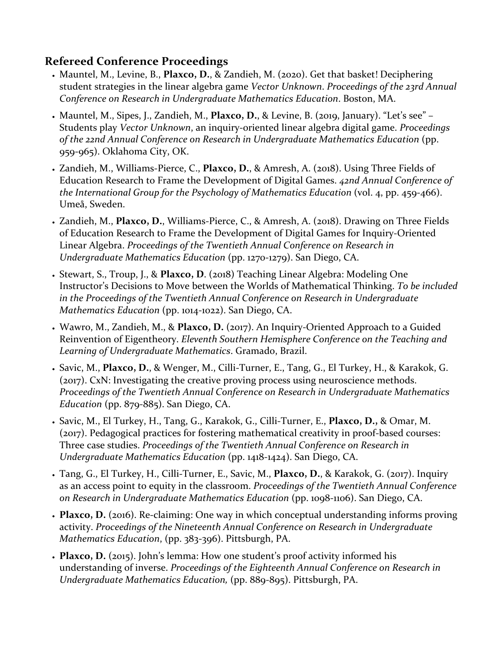### **Refereed Conference Proceedings**

- Mauntel, M., Levine, B., **Plaxco, D.**, & Zandieh, M. (2020). Get that basket! Deciphering student strategies in the linear algebra game *Vector Unknown*. *Proceedings of the 23rd Annual Conference on Research in Undergraduate Mathematics Education*. Boston, MA.
- Mauntel, M., Sipes, J., Zandieh, M., **Plaxco, D.**, & Levine, B. (2019, January). "Let's see" Students play *Vector Unknown*, an inquiry-oriented linear algebra digital game. *Proceedings of the 22nd Annual Conference on Research in Undergraduate Mathematics Education* (pp. 959-965). Oklahoma City, OK.
- Zandieh, M., Williams-Pierce, C., **Plaxco, D.**, & Amresh, A. (2018). Using Three Fields of Education Research to Frame the Development of Digital Games. *42nd Annual Conference of the International Group for the Psychology of Mathematics Education (vol. 4, pp. 459-466).* Umeå, Sweden.
- Zandieh, M., **Plaxco, D.**, Williams-Pierce, C., & Amresh, A. (2018). Drawing on Three Fields of Education Research to Frame the Development of Digital Games for Inquiry-Oriented Linear Algebra. *Proceedings of the Twentieth Annual Conference on Research in Undergraduate Mathematics Education* (pp. 1270-1279). San Diego, CA.
- Stewart, S., Troup, J., & **Plaxco, D**. (2018) Teaching Linear Algebra: Modeling One Instructor's Decisions to Move between the Worlds of Mathematical Thinking. *To be included in the Proceedings of the Twentieth Annual Conference on Research in Undergraduate Mathematics Education* (pp. 1014-1022). San Diego, CA.
- Wawro, M., Zandieh, M., & **Plaxco, D.** (2017). An Inquiry-Oriented Approach to a Guided Reinvention of Eigentheory. *Eleventh Southern Hemisphere Conference on the Teaching and Learning of Undergraduate Mathematics*. Gramado, Brazil.
- Savic, M., **Plaxco, D.**, & Wenger, M., Cilli-Turner, E., Tang, G., El Turkey, H., & Karakok, G. (2017). CxN: Investigating the creative proving process using neuroscience methods. *Proceedings of the Twentieth Annual Conference on Research in Undergraduate Mathematics Education* (pp. 879-885). San Diego, CA.
- Savic, M., El Turkey, H., Tang, G., Karakok, G., Cilli-Turner, E., **Plaxco, D.,** & Omar, M. (2017). Pedagogical practices for fostering mathematical creativity in proof-based courses: Three case studies. *Proceedings of the Twentieth Annual Conference on Research in Undergraduate Mathematics Education* (pp. 1418-1424). San Diego, CA.
- Tang, G., El Turkey, H., Cilli-Turner, E., Savic, M., **Plaxco, D.**, & Karakok, G. (2017). Inquiry as an access point to equity in the classroom. *Proceedings of the Twentieth Annual Conference on Research in Undergraduate Mathematics Education* (pp. 1098-1106). San Diego, CA.
- **Plaxco, D.** (2016). Re-claiming: One way in which conceptual understanding informs proving activity. *Proceedings of the Nineteenth Annual Conference on Research in Undergraduate Mathematics Education*, (pp. 383-396). Pittsburgh, PA.
- **Plaxco, D.** (2015). John's lemma: How one student's proof activity informed his understanding of inverse. *Proceedings of the Eighteenth Annual Conference on Research in Undergraduate Mathematics Education,* (pp. 889-895). Pittsburgh, PA.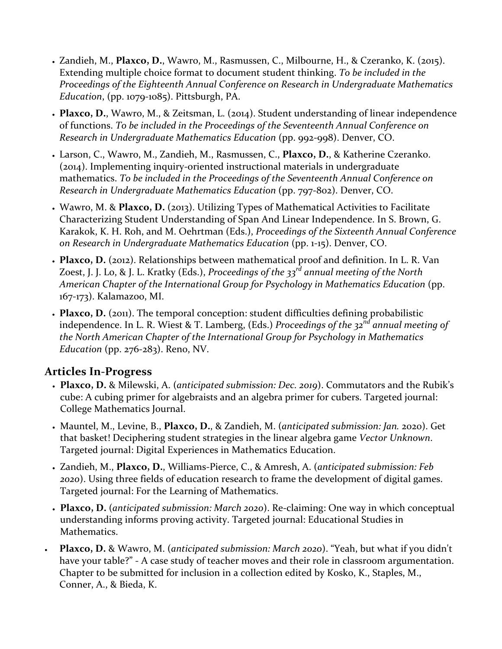- Zandieh, M., **Plaxco, D.**, Wawro, M., Rasmussen, C., Milbourne, H., & Czeranko, K. (2015). Extending multiple choice format to document student thinking. *To be included in the Proceedings of the Eighteenth Annual Conference on Research in Undergraduate Mathematics Education*, (pp. 1079-1085). Pittsburgh, PA.
- **Plaxco, D.**, Wawro, M., & Zeitsman, L. (2014). Student understanding of linear independence of functions. *To be included in the Proceedings of the Seventeenth Annual Conference on Research in Undergraduate Mathematics Education* (pp. 992-998). Denver, CO.
- Larson, C., Wawro, M., Zandieh, M., Rasmussen, C., **Plaxco, D.**, & Katherine Czeranko. (2014). Implementing inquiry-oriented instructional materials in undergraduate mathematics. *To be included in the Proceedings of the Seventeenth Annual Conference on Research in Undergraduate Mathematics Education* (pp. 797-802). Denver, CO.
- Wawro, M. & **Plaxco, D.** (2013). Utilizing Types of Mathematical Activities to Facilitate Characterizing Student Understanding of Span And Linear Independence. In S. Brown, G. Karakok, K. H. Roh, and M. Oehrtman (Eds.), *Proceedings of the Sixteenth Annual Conference on Research in Undergraduate Mathematics Education* (pp. 1-15). Denver, CO.
- **Plaxco, D.** (2012). Relationships between mathematical proof and definition. In L. R. Van Zoest, J. J. Lo, & J. L. Kratky (Eds.), *Proceedings of the 33rd annual meeting of the North American Chapter of the International Group for Psychology in Mathematics Education* (pp. 167-173). Kalamazoo, MI.
- **Plaxco, D.** (2011). The temporal conception: student difficulties defining probabilistic independence. In L. R. Wiest & T. Lamberg, (Eds.) *Proceedings of the 32nd annual meeting of the North American Chapter of the International Group for Psychology in Mathematics Education* (pp. 276-283). Reno, NV.

# **Articles In-Progress**

- **Plaxco, D.** & Milewski, A. (*anticipated submission: Dec. 2019*). Commutators and the Rubik's cube: A cubing primer for algebraists and an algebra primer for cubers. Targeted journal: College Mathematics Journal.
- Mauntel, M., Levine, B., **Plaxco, D.**, & Zandieh, M. (*anticipated submission: Jan.* 2020). Get that basket! Deciphering student strategies in the linear algebra game *Vector Unknown*. Targeted journal: Digital Experiences in Mathematics Education.
- Zandieh, M., **Plaxco, D.**, Williams-Pierce, C., & Amresh, A. (*anticipated submission: Feb 2020*). Using three fields of education research to frame the development of digital games. Targeted journal: For the Learning of Mathematics.
- **Plaxco, D.** (*anticipated submission: March 2020*). Re-claiming: One way in which conceptual understanding informs proving activity. Targeted journal: Educational Studies in Mathematics.
- **Plaxco, D.** & Wawro, M. (*anticipated submission: March 2020*). "Yeah, but what if you didn't have your table?" - A case study of teacher moves and their role in classroom argumentation. Chapter to be submitted for inclusion in a collection edited by Kosko, K., Staples, M., Conner, A., & Bieda, K.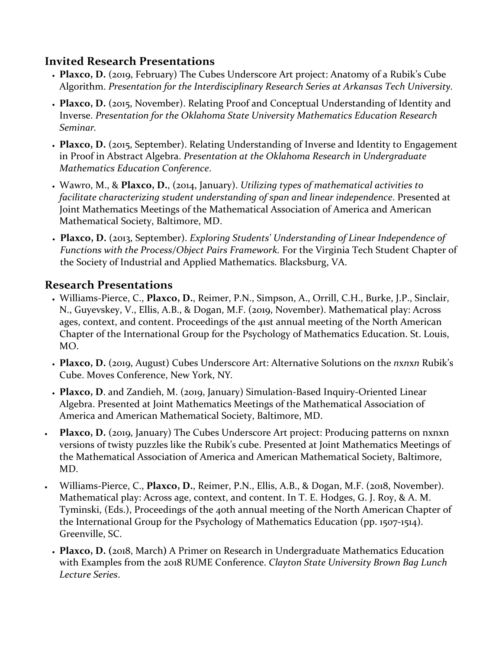#### **Invited Research Presentations**

- **Plaxco, D.** (2019, February) The Cubes Underscore Art project: Anatomy of a Rubik's Cube Algorithm. *Presentation for the Interdisciplinary Research Series at Arkansas Tech University.*
- **Plaxco, D.** (2015, November). Relating Proof and Conceptual Understanding of Identity and Inverse. *Presentation for the Oklahoma State University Mathematics Education Research Seminar.*
- **Plaxco, D.** (2015, September). Relating Understanding of Inverse and Identity to Engagement in Proof in Abstract Algebra. *Presentation at the Oklahoma Research in Undergraduate Mathematics Education Conference*.
- Wawro, M., & **Plaxco, D.**, (2014, January). *Utilizing types of mathematical activities to facilitate characterizing student understanding of span and linear independence*. Presented at Joint Mathematics Meetings of the Mathematical Association of America and American Mathematical Society, Baltimore, MD.
- **Plaxco, D.** (2013, September). *Exploring Students' Understanding of Linear Independence of Functions with the Process/Object Pairs Framework.* For the Virginia Tech Student Chapter of the Society of Industrial and Applied Mathematics. Blacksburg, VA.

### **Research Presentations**

- Williams-Pierce, C., **Plaxco, D.**, Reimer, P.N., Simpson, A., Orrill, C.H., Burke, J.P., Sinclair, N., Guyevskey, V., Ellis, A.B., & Dogan, M.F. (2019, November). Mathematical play: Across ages, context, and content. Proceedings of the 41st annual meeting of the North American Chapter of the International Group for the Psychology of Mathematics Education. St. Louis, MO.
- **Plaxco, D.** (2019, August) Cubes Underscore Art: Alternative Solutions on the *n*x*n*x*n* Rubik's Cube. Moves Conference, New York, NY*.*
- **Plaxco, D**. and Zandieh, M. (2019, January) Simulation-Based Inquiry-Oriented Linear Algebra. Presented at Joint Mathematics Meetings of the Mathematical Association of America and American Mathematical Society, Baltimore, MD.
- **Plaxco, D.** (2019, January) The Cubes Underscore Art project: Producing patterns on nxnxn versions of twisty puzzles like the Rubik's cube. Presented at Joint Mathematics Meetings of the Mathematical Association of America and American Mathematical Society, Baltimore, MD.
- Williams-Pierce, C., **Plaxco, D.**, Reimer, P.N., Ellis, A.B., & Dogan, M.F. (2018, November). Mathematical play: Across age, context, and content. In T. E. Hodges, G. J. Roy, & A. M. Tyminski, (Eds.), Proceedings of the 40th annual meeting of the North American Chapter of the International Group for the Psychology of Mathematics Education (pp. 1507-1514). Greenville, SC.
- **Plaxco, D. (**2018, March**)** A Primer on Research in Undergraduate Mathematics Education with Examples from the 2018 RUME Conference. *Clayton State University Brown Bag Lunch Lecture Series*.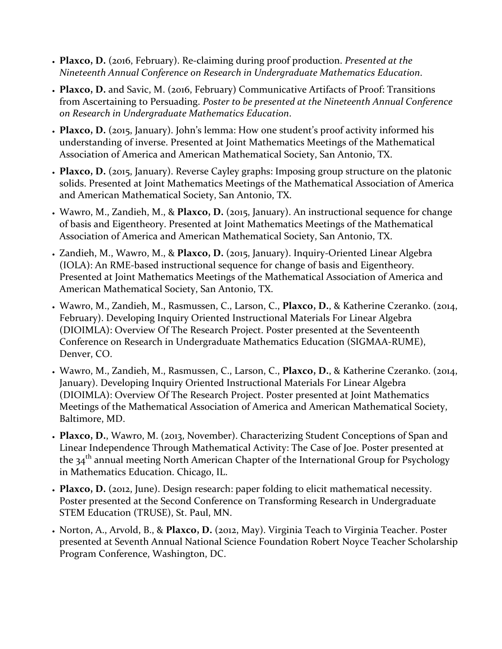- **Plaxco, D.** (2016, February). Re-claiming during proof production. *Presented at the Nineteenth Annual Conference on Research in Undergraduate Mathematics Education*.
- **Plaxco, D.** and Savic, M. (2016, February) Communicative Artifacts of Proof: Transitions from Ascertaining to Persuading. *Poster to be presented at the Nineteenth Annual Conference on Research in Undergraduate Mathematics Education*.
- **Plaxco, D.** (2015, January). John's lemma: How one student's proof activity informed his understanding of inverse. Presented at Joint Mathematics Meetings of the Mathematical Association of America and American Mathematical Society, San Antonio, TX.
- **Plaxco, D.** (2015, January). Reverse Cayley graphs: Imposing group structure on the platonic solids. Presented at Joint Mathematics Meetings of the Mathematical Association of America and American Mathematical Society, San Antonio, TX.
- Wawro, M., Zandieh, M., & **Plaxco, D.** (2015, January). An instructional sequence for change of basis and Eigentheory. Presented at Joint Mathematics Meetings of the Mathematical Association of America and American Mathematical Society, San Antonio, TX.
- Zandieh, M., Wawro, M., & **Plaxco, D.** (2015, January). Inquiry-Oriented Linear Algebra (IOLA): An RME-based instructional sequence for change of basis and Eigentheory*.* Presented at Joint Mathematics Meetings of the Mathematical Association of America and American Mathematical Society, San Antonio, TX.
- Wawro, M., Zandieh, M., Rasmussen, C., Larson, C., **Plaxco, D.**, & Katherine Czeranko. (2014, February). Developing Inquiry Oriented Instructional Materials For Linear Algebra (DIOIMLA): Overview Of The Research Project. Poster presented at the Seventeenth Conference on Research in Undergraduate Mathematics Education (SIGMAA-RUME), Denver, CO.
- Wawro, M., Zandieh, M., Rasmussen, C., Larson, C., **Plaxco, D.**, & Katherine Czeranko. (2014, January). Developing Inquiry Oriented Instructional Materials For Linear Algebra (DIOIMLA): Overview Of The Research Project. Poster presented at Joint Mathematics Meetings of the Mathematical Association of America and American Mathematical Society, Baltimore, MD.
- **Plaxco, D.**, Wawro, M. (2013, November). Characterizing Student Conceptions of Span and Linear Independence Through Mathematical Activity: The Case of Joe. Poster presented at the  $34<sup>th</sup>$  annual meeting North American Chapter of the International Group for Psychology in Mathematics Education. Chicago, IL.
- **Plaxco, D.** (2012, June). Design research: paper folding to elicit mathematical necessity. Poster presented at the Second Conference on Transforming Research in Undergraduate STEM Education (TRUSE), St. Paul, MN.
- Norton, A., Arvold, B., & **Plaxco, D.** (2012, May). Virginia Teach to Virginia Teacher. Poster presented at Seventh Annual National Science Foundation Robert Noyce Teacher Scholarship Program Conference, Washington, DC.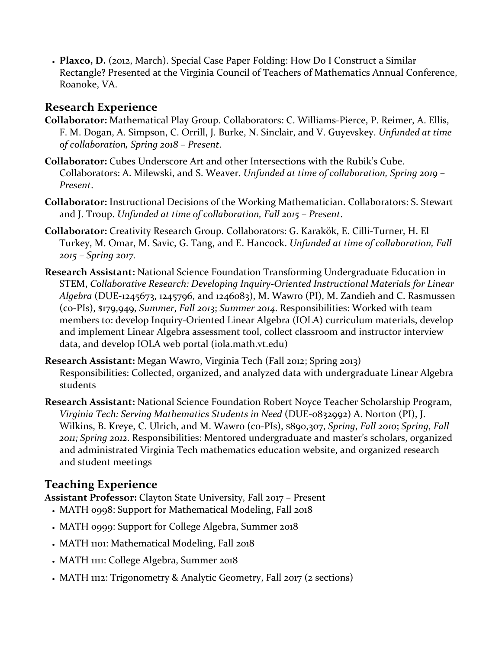• **Plaxco, D.** (2012, March). Special Case Paper Folding: How Do I Construct a Similar Rectangle? Presented at the Virginia Council of Teachers of Mathematics Annual Conference, Roanoke, VA.

### **Research Experience**

- **Collaborator:** Mathematical Play Group. Collaborators: C. Williams-Pierce, P. Reimer, A. Ellis, F. M. Dogan, A. Simpson, C. Orrill, J. Burke, N. Sinclair, and V. Guyevskey. *Unfunded at time of collaboration, Spring 2018 – Present*.
- **Collaborator:** Cubes Underscore Art and other Intersections with the Rubik's Cube. Collaborators: A. Milewski, and S. Weaver. *Unfunded at time of collaboration, Spring 2019 – Present*.
- **Collaborator:** Instructional Decisions of the Working Mathematician. Collaborators: S. Stewart and J. Troup. *Unfunded at time of collaboration, Fall 2015 – Present*.
- **Collaborator:** Creativity Research Group. Collaborators: G. Karakök, E. Cilli-Turner, H. El Turkey, M. Omar, M. Savic, G. Tang, and E. Hancock. *Unfunded at time of collaboration, Fall 2015 – Spring 2017.*
- **Research Assistant:** National Science Foundation Transforming Undergraduate Education in STEM, *Collaborative Research: Developing Inquiry-Oriented Instructional Materials for Linear Algebra* (DUE-1245673, 1245796, and 1246083), M. Wawro (PI), M. Zandieh and C. Rasmussen (co-PIs), \$179,949, *Summer*, *Fall 2013*; *Summer 2014*. Responsibilities: Worked with team members to: develop Inquiry-Oriented Linear Algebra (IOLA) curriculum materials, develop and implement Linear Algebra assessment tool, collect classroom and instructor interview data, and develop IOLA web portal (iola.math.vt.edu)
- **Research Assistant:** Megan Wawro, Virginia Tech (Fall 2012; Spring 2013) Responsibilities: Collected, organized, and analyzed data with undergraduate Linear Algebra students
- **Research Assistant:** National Science Foundation Robert Noyce Teacher Scholarship Program, *Virginia Tech: Serving Mathematics Students in Need* (DUE-0832992) A. Norton (PI), J. Wilkins, B. Kreye, C. Ulrich, and M. Wawro (co-PIs), \$890,307, *Spring*, *Fall 2010*; *Spring*, *Fall 2011; Spring 2012*. Responsibilities: Mentored undergraduate and master's scholars, organized and administrated Virginia Tech mathematics education website, and organized research and student meetings

# **Teaching Experience**

**Assistant Professor:** Clayton State University, Fall 2017 – Present

- MATH 0998: Support for Mathematical Modeling, Fall 2018
- MATH 0999: Support for College Algebra, Summer 2018
- MATH 1101: Mathematical Modeling, Fall 2018
- MATH 1111: College Algebra, Summer 2018
- MATH 1112: Trigonometry & Analytic Geometry, Fall 2017 (2 sections)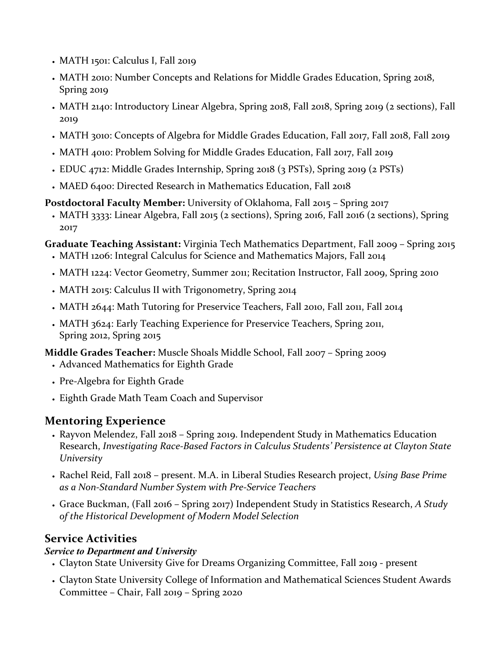- MATH 1501: Calculus I, Fall 2019
- MATH 2010: Number Concepts and Relations for Middle Grades Education, Spring 2018, Spring 2019
- MATH 2140: Introductory Linear Algebra, Spring 2018, Fall 2018, Spring 2019 (2 sections), Fall 2019
- MATH 3010: Concepts of Algebra for Middle Grades Education, Fall 2017, Fall 2018, Fall 2019
- MATH 4010: Problem Solving for Middle Grades Education, Fall 2017, Fall 2019
- EDUC 4712: Middle Grades Internship, Spring 2018 (3 PSTs), Spring 2019 (2 PSTs)
- MAED 6400: Directed Research in Mathematics Education, Fall 2018

#### **Postdoctoral Faculty Member:** University of Oklahoma, Fall 2015 – Spring 2017

• MATH 3333: Linear Algebra, Fall 2015 (2 sections), Spring 2016, Fall 2016 (2 sections), Spring 2017

#### **Graduate Teaching Assistant:** Virginia Tech Mathematics Department, Fall 2009 – Spring 2015

- MATH 1206: Integral Calculus for Science and Mathematics Majors, Fall 2014
- MATH 1224: Vector Geometry, Summer 2011; Recitation Instructor, Fall 2009, Spring 2010
- MATH 2015: Calculus II with Trigonometry, Spring 2014
- MATH 2644: Math Tutoring for Preservice Teachers, Fall 2010, Fall 2011, Fall 2014
- MATH 3624: Early Teaching Experience for Preservice Teachers, Spring 2011, Spring 2012, Spring 2015

#### **Middle Grades Teacher:** Muscle Shoals Middle School, Fall 2007 – Spring 2009

- Advanced Mathematics for Eighth Grade
- Pre-Algebra for Eighth Grade
- Eighth Grade Math Team Coach and Supervisor

### **Mentoring Experience**

- Rayvon Melendez, Fall 2018 Spring 2019. Independent Study in Mathematics Education Research, *Investigating Race-Based Factors in Calculus Students' Persistence at Clayton State University*
- Rachel Reid, Fall 2018 present. M.A. in Liberal Studies Research project, *Using Base Prime as a Non-Standard Number System with Pre-Service Teachers*
- Grace Buckman, (Fall 2016 Spring 2017) Independent Study in Statistics Research, *A Study of the Historical Development of Modern Model Selection*

### **Service Activities**

#### *Service to Department and University*

- Clayton State University Give for Dreams Organizing Committee, Fall 2019 present
- Clayton State University College of Information and Mathematical Sciences Student Awards Committee – Chair, Fall 2019 – Spring 2020